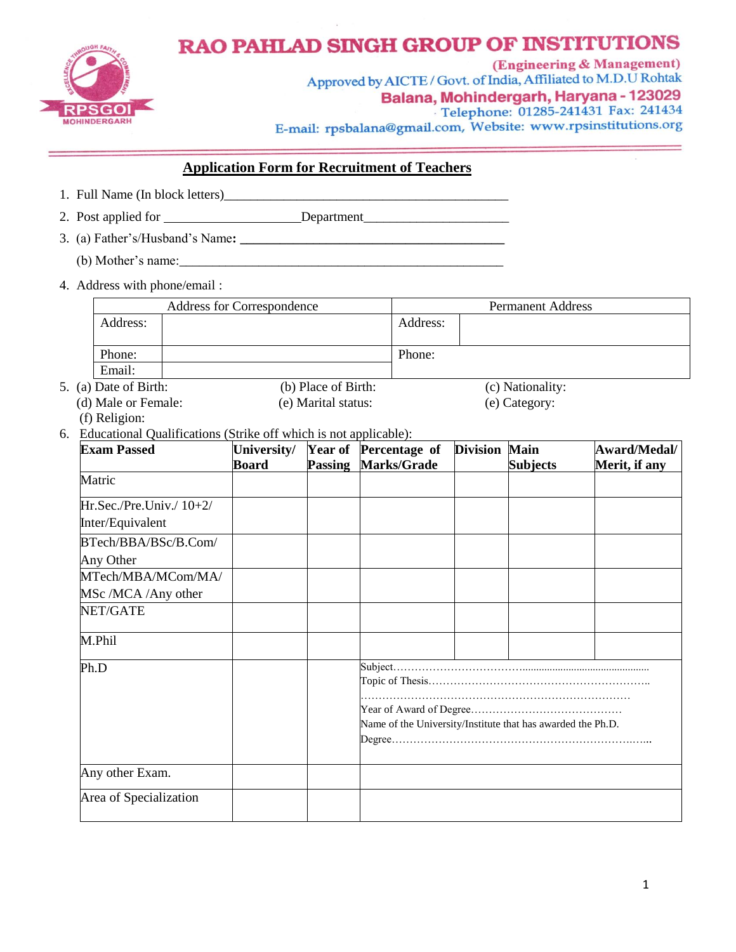

## **RAO PAHLAD SINGH GROUP OF INSTITUTIONS**

(Engineering & Management) Approved by AICTE / Govt. of India, Affiliated to M.D.U Rohtak Balana, Mohindergarh, Haryana - 123029 Telephone: 01285-241431 Fax: 241434 E-mail: rpsbalana@gmail.com, Website: www.rpsinstitutions.org

## **Application Form for Recruitment of Teachers**

1. Full Name (In block letters)

2. Post applied for Department

- 3. (a) Father's/Husband's Name**: \_\_\_\_\_\_\_\_\_\_\_\_\_\_\_\_\_\_\_\_\_\_\_\_\_\_\_\_\_\_\_\_\_\_\_\_\_\_\_\_**
	- (b) Mother's name:\_\_\_\_\_\_\_\_\_\_\_\_\_\_\_\_\_\_\_\_\_\_\_\_\_\_\_\_\_\_\_\_\_\_\_\_\_\_\_\_\_\_\_\_\_\_\_\_\_
- 4. Address with phone/email :

| <b>Address for Correspondence</b> |  |                     | <b>Permanent Address</b> |                  |  |
|-----------------------------------|--|---------------------|--------------------------|------------------|--|
| Address:                          |  |                     | Address:                 |                  |  |
|                                   |  |                     |                          |                  |  |
| Phone:                            |  |                     | Phone:                   |                  |  |
| Email:                            |  |                     |                          |                  |  |
| 5. (a) Date of Birth:             |  | (b) Place of Birth: |                          | (c) Nationality: |  |
| (d) Male or Female:               |  | (e) Marital status: |                          | (e) Category:    |  |

- (f) Religion:
- 6. Educational Qualifications (Strike off which is not applicable):

| <b>Exam Passed</b>          | University/ | Year of        | Percentage of                                               | <b>Division Main</b> |                 | Award/Medal/  |
|-----------------------------|-------------|----------------|-------------------------------------------------------------|----------------------|-----------------|---------------|
|                             | Board       | <b>Passing</b> | Marks/Grade                                                 |                      | <b>Subjects</b> | Merit, if any |
| Matric                      |             |                |                                                             |                      |                 |               |
| $Hr. Sec./Pre.Univ./ 10+2/$ |             |                |                                                             |                      |                 |               |
| Inter/Equivalent            |             |                |                                                             |                      |                 |               |
| BTech/BBA/BSc/B.Com/        |             |                |                                                             |                      |                 |               |
| Any Other                   |             |                |                                                             |                      |                 |               |
| MTech/MBA/MCom/MA/          |             |                |                                                             |                      |                 |               |
| MSc /MCA /Any other         |             |                |                                                             |                      |                 |               |
| NET/GATE                    |             |                |                                                             |                      |                 |               |
| M.Phil                      |             |                |                                                             |                      |                 |               |
| Ph.D                        |             |                |                                                             |                      |                 |               |
|                             |             |                | Name of the University/Institute that has awarded the Ph.D. |                      |                 |               |
|                             |             |                |                                                             |                      |                 |               |
| Any other Exam.             |             |                |                                                             |                      |                 |               |
| Area of Specialization      |             |                |                                                             |                      |                 |               |